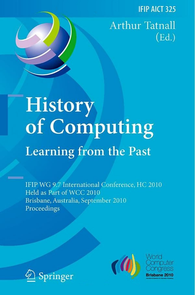**IFIP AICT 325** 

**Arthur Tatnall**  $(\text{Ed.})$ 

# History of Computing **Learning from the Past**

IFIP WG 9.7 International Conference, HC 2010 Held as Part of WCC 2010 Brisbane, Australia, September 2010 Proceedings





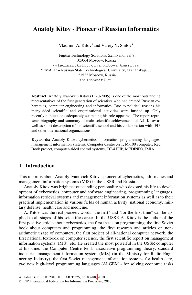## **Anatoly Kitov - Pioneer of Russian Informatics**

Vladimir A. Kitov<sup>1</sup> and Valery V. Shilov<sup>2</sup>

<sup>1</sup> Fujitsu Technology Solutions, Zemlyanoi val 9, 105064 Moscow, Russia {vladimir.kitov,olga.kitova}@mail.ru  $2$  "MATI" – Russian State Technological University, Orshanskaja 3, 121522 Moscow, Russia shilov@mati.ru

**Abstract.** Anatoly Ivanovich Kitov (1920-2005) is one of the most outstanding representatives of the first generation of scientists who had created Russian cybernetics, computer engineering and informatics. Due to political reasons his many-sided scientific and organizational activities were hushed up. Only recently publications adequately estimating his role appeared. The report represents biography and summary of main scientific achievements of A.I. Kitov as well as short description of his scientific school and his collaboration with IFIP and other international organizations.

**Keywords:** Anatoly Kitov, cybernetics, informatics, programming languages, management information systems, Computer Centre № 1, M-100 computer, Red Book project, computer-aided control systems, TC-4 IFIP, MEDINFO, IMIA.

#### **1 Introduction**

This report is about Anatoly Ivanovich Kitov - pioneer of cybernetics, informatics and management information systems (MIS) in the USSR and Russia.

Anatoly Kitov was brightest outstanding personality who devoted his life to development of cybernetics, computer and software engineering, programming languages, information retrieval systems and management information systems as well as to their practical implementation in various fields of human activity: national economy, military defense, health care and medicine.

A. Kitov was the real pioneer, words "the first" and "for the first time" can be applied to all stages of his scientific career. In the USSR A. Kitov is the author of the first positive article about cybernetics, the first thesis on programming, the first Soviet book about computers and programming, the first research and articles on nonarithmetic usage of computers, the first project of all-national computer network, the first national textbo[ok o](#page--1-0)n computer science, the first scientific report on management information systems (IMS), etc. He created the most powerful in the USSR computer at his time, the Computer Centre  $\mathcal{N}_2$  1, associative programming theory, standard industrial management information system (MIS) (in the Ministry for Radio Engineering Industry), the first Soviet management information systems for health care, two new high-level programming languages (ALGEM - for solving economic tasks

© IFIP International Federation for Information Processing 2010

A. Tatnall (Ed.): HC 2010, IFIP AICT 325, pp. 80–88, 2010.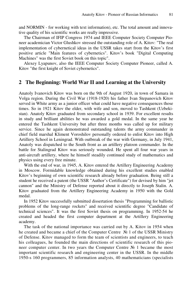and NORMIN - for working with text information), etc. The total amount and innovative quality of his scientific works are really impressive.

The Chairman of IFIP Congress 1974 and IEEE Computer Society Computer Pioneer academician Victor Glushkov stressed the outstanding role of A. Kitov: "The real implementation of cybernetical ideas in the USSR takes start from the Kitov's first positive article "Main features of cybernetics". Kitov's book "Digital Computing Machines" was the first Soviet book on this topic".

Alexey Lyapunov, also the IEEE Computer Society Computer Pioneer, called A. Kitov "the first knight of Soviet cybernetics".

### **2 The Beginning: World War II and Learning at the University**

Anatoly Ivanovich Kitov was born on the 9th of August 1920, in town of Samara in Volga region. During the Civil War (1918-1920) his father Ivan Stepanovich Kitov served in White army as a junior officer what could have negative consequences those times. So in 1921 Kitov the elder, with wife and son, moved to Tashkent (Uzbekistan). Anatoly Kitov graduated from secondary school in 1939. For excellent results in study and brilliant abilities he was awarded a gold medal. In the same year he entered the Tashkent University but after three months was called up for military service. Since he again demonstrated outstanding talents the army commander in chief field marshal Kliment Voroshilov personally ordered to enlist Kitov into High Artillery School in Leningrad. With outbreak of the war with Germany, in July 1941, Anatoly was dispatched to the South front as an artillery platoon commander. In the battle for Stalingrad Kitov was seriously wounded. He spent all four war years in anti-aircraft artillery, where he himself steadily continued study of mathematics and physics using every free minute.

With the end of war, in 1945, A. Kitov entered the Artillery Engineering Academy in Moscow. Formidable knowledge obtained during his excellent studies enabled Kitov's beginning of own scientific research already before graduation. Being still a student he received a patent (the USSR "Author's Certificate") for devised by him "jet cannon" and the Ministry of Defense reported about it directly to Joseph Stalin. A. Kitov graduated from the Artillery Engineering Academy in 1950 with the Gold medal.

In 1952 Kitov successfully submitted dissertation thesis "Programming for ballistic problems of the long-range rockets" and received scientific degree "Candidate of technical sciences". It was the first Soviet thesis on programming. In 1952-54 he created and headed the first computer department at the Artillery Engineering academy.

The task of the national importance was carried out by A. Kitov in 1954 when he created and became a chief of the Computer Centre № 1 of the USSR Ministry of Defense. Kitov managed to form the team of scientists and engineers, to teach his colleagues, he founded the main directions of scientific research of this pioneer computer center. In two years the Computer Centre № 1 became the most important scientific research and engineering center in the USSR. In the middle 1950-s 160 programmers, 85 information analysts, 40 mathematicians (specialists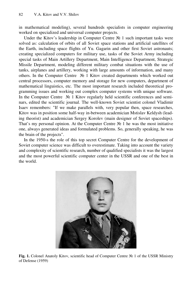in mathematical modeling), several hundreds specialists in computer engineering worked on specialized and universal computer projects.

Under the Kitov's leadership in Computer Centre № 1 such important tasks were solved as: calculation of orbits of all Soviet space stations and artificial satellites of the Earth, including space flights of Yu. Gagarin and other first Soviet astronauts; creating specialized computers for military use, tasks of the Soviet Army including special tasks of Main Artillery Department, Main Intelligence Department, Strategic Missile Department, modeling different military combat situations with the use of tanks, airplanes and artillery, working with large amounts of information, and many others. In the Computer Centre № 1 Kitov created departments which worked out central processors, computer memory and storage for new computers, department of mathematical linguistics, etc. The most important research included theoretical programming issues and working out complex computer systems with unique software. In the Computer Centre № 1 Kitov regularly held scientific conferences and seminars, edited the scientific journal. The well-known Soviet scientist colonel Vladimir Isaev remembers: "If we make parallels with, very popular then, space researches, Kitov was in position some half-way in-between academician Mstislav Keldysh (leading theorist) and academician Sergey Korolev (main designer of Soviet spaceships). That's my personal opinion. At the Computer Centre  $N_2$  1 he was the most initiative one, always generated ideas and formulated problems. So, generally speaking, he was the brain of the projects".

In the 1950-s the role of this top secret Computer Centre for the development of Soviet computer science was difficult to overestimate. Taking into account the variety and complexity of scientific research, number of qualified specialists it was the largest and the most powerful scientific computer center in the USSR and one of the best in the world.



**Fig. 1.** Colonel Anatoly Kitov, scientific head of Computer Centre № 1 of the USSR Ministry of Defense (1959)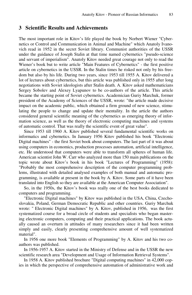#### **3 Scientific Results and Achievements**

The most important role in Kitov's life played the book by Norbert Wiener "Cybernetics or Control and Communication in Animal and Machine" which Anatoly Ivanovich read in 1952 in the secret Soviet library. Communist authorities of the USSR under the guidance of Joseph Stalin at that time named cybernetics "pseudo-science and servant of imperialism". Anatoly Kitov needed great courage not only to read the Wiener's book but to write article "Main Features of Cybernetics" - the first positive article on cybernetics in the USSR. In the Stalin times he risked not only by his freedom but also by his life. During two years, since 1953 till 1955 A. Kitov delivered a lot of lectures about cybernetics, but this article was published only in 1955 after long negotiations with Soviet ideologists after Stalin death. A. Kitov asked mathematicians Sergey Sobolev and Alexey Lyapunov to be co-authors of the article. This article became the starting point of Soviet cybernetics. Academician Guriy Marchuk, former president of the Academy of Sciences of the USSR, wrote: "the article made decisive impact on the academic public, which obtained a firm ground of new science, stimulating the people to change and update their mentality. In the article the authors considered general scientific meaning of the cybernetics as emerging theory of information science, as well as the theory of electronic computing machines and systems of automatic control. That was really the scientific event of great value".

Since 1953 till 1960 A. Kitov published several fundamental scientific works on informatics and cybernetics. In January 1956 Kitov published his book "Electronic Digital machines" - the first Soviet book about computers. The last part of it was about using computers in economics, production processes automation, artificial intelligence, etc. He understood that computers were able to transform all spheres of human life. American scientist John W. Carr who analyzed more than 150 main publications on the topic wrote about Kitov's book in his book "Lectures of Programming" (1958): "Probably the most comprehensive description of the computer programming problems, illustrated with detailed analysed examples of both manual and automatic programming, is available at present in the book by A. Kitov. Some parts of it have been translated into English so they are available at the American Computer Association".

So, in the 1950s, the Kitov's book was really one of the best books dedicated to computers and programming.

"Electronic Digital machines" by Kitov was published in the USA, China, Czechoslovakia, Poland, German Democratic Republic and other countries. Guriy Marchuk wrote: " Electronic Digital machines" by A. Kitov, published in 1956, was the first systematized course for a broad circle of students and specialists who began mastering electronic computers, computing and their practical applications. The book actually caused an overturn in attitudes of many researchers since it had been written simply and easily, clearly presenting comprehensive amount of well systematized material".

In 1956 one more book "Elements of Programming" by A. Kitov and his two coauthors was published.

In 1956-1957 A. Kitov started in the Ministry of Defense and in the USSR the new scientific research area "Development and Usage of Information Retrieval Systems".

In 1958 A. Kitov published brochure "Digital computing machines" in 42,000 copies in which the perspective of comprehensive automation of administrative work and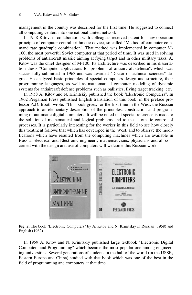management in the country was described for the first time. He suggested to connect all computing centers into one national united network.

In 1958 Kitov, in collaboration with colleagues received patent for new operation principle of computer central arithmetic device, so-called "Method of computer command rate quadruple combination". That method was implemented in computer M-100, the most powerful Soviet computer at that period of time. It was used in solving problems of antiaircraft missile aiming at flying target and in other military tasks. A. Kitov was the chief designer of M-100. Its architecture was described in his dissertation thesis "Computer applications for problems of antiaircraft defense", which was successfully submitted in 1963 and was awarded "Doctor of technical sciences" degree. He analyzed basic principles of special computers design and structure, their programming languages, as well as mathematical computer modeling of dynamic systems for antiaircraft defense problems such as ballistics, flying target tracking, etc.

In 1958 A. Kitov and N. Krinitskiy published the book "Electronic Computers". In 1962 Pergamon Press published English translation of this book; in the preface professor A.D. Booth wrote: "This book gives, for the first time in the West, the Russian approach to an elementary description of the principles, construction and programming of automatic digital computers. It will be noted that special reference is made to the solution of mathematical and logical problems and to the automatic control of processes. It is particularly interesting for the worker in this field to see how closely this treatment follows that which has developed in the West, and to observe the modifications which have resulted from the computing machines which are available in Russia. Electrical and Electronic engineers, mathematicians, physicians and all concerned with the design and use of computers will welcome this Russian work".



**Fig. 2.** The book "Electronic Computers" by A. Kitov and N. Krinitskiy in Russian (1958) and English (1962)

In 1959 A. Kitov and N. Krinitskiy published large textbook "Electronic Digital Computers and Programming" which became the most popular one among engineering universities. Several generations of students in the half of the world (in the USSR, Eastern Europe and China) studied with that book which was one of the best in the field of programming and computers at that time.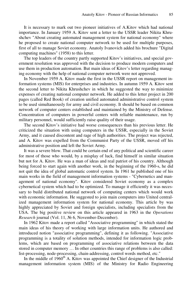It is necessary to mark out two pioneer initiatives of A.Kitov which had national importance. In January 1959 A. Kitov sent a letter to the USSR leader Nikita Khrushchev "About creating automated management system for national economy" where he proposed to create national computer network to be used for multiple purposes, first of all to manage Soviet economy. Anatoly Ivanovich added his brochure "Digital computing machines" (1958) to this letter.

The top leaders of the country partly supported Kitov's initiatives, and special government resolution was approved with the decision to produce modern computers and use them in production automation. But main ideas of Kitov's letter regarding managing economy with the help of national computer network were not approved.

In November 1959 A. Kitov made the first in the USSR report on management information systems (MIS) for enterprises and industries. In autumn 1959 A. Kitov sent the second letter to Nikita Khrushchev in which he suggested the way to minimize expenses of creating national computer network. He added to this letter project in 200 pages (called Red Book) of creation unified automated administrative control system to be used simultaneously for army and civil economy. It should be based on common network of computer centers established and maintained by the Ministry of Defense. Concentration of computers in powerful centers with reliable maintenance, run by military personnel, would sufficiently raise quality of their usage.

The second Kitov's initiative had worse consequences than his previous letter. He criticized the situation with using computers in the USSR, especially in the Soviet Army, and it caused discontent and rage of high authorities. The project was rejected, and A. Kitov was expelled from the Communist Party of the USSR, moved off his administrative position and left the Soviet Army.

It was a severe blow. That could be certain end of any political and scientific career for most of those who would, by a misplay of luck, find himself in similar situation but not for A. Kitov. He was a man of ideas and real patriot of his country. Although being forced to start again with another work, in the beginning of the 1960-s, he did not quit the idea of global automatic control system. In 1961 he published one of his main works in the field of management information systems - "Cybernetics and management of national economy". Kitov considered Soviet economy as a complex cybernetical system which had to be optimized. To manage it efficiently it was necessary to build distributed national network of computing centers which would work with economic information. He suggested to join main computers into United centralized management information system for national economy. This article by was highly appreciated by Soviet and foreign specialists, including specialists from the USA. The big positive review on this article appeared in 1963 in the *Operations Research* journal (Vol. 11, № 6, November-December).

In 1962 Kitov made a report called "Associative programming" in which stated the main ideas of his theory of working with large information units. He authored and introduced notion "associative programming", defining it as following. "Associative programming is a totality of solution methods, intended for information logic problems, which are based on programming of associative relations between the data stored in computer memory … In other countries this range of problems is also called: list-processing, node-processing, chain-addressing, control words method, etc."

In the middle of  $1960<sup>th</sup>$  A. Kitov was appointed the Chief designer of the Industrial management information system (MIS) of the Ministry for Radio Engineering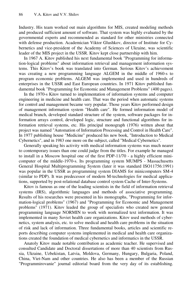Industry. His team worked out main algorithms for MIS, created modeling methods and produced sufficient amount of software. That system was highly evaluated by the governmental experts and recommended as standard for other ministries connected with defense production. Academician Viktor Glushkov, director of Institute for Cybernetics and vice-president of the Academy of Sciences of Ukraine, was scientific leader of the MIS project in the USSR. Kitov kept close partnership with him.

In 1967 A. Kitov published his next fundamental book "Programming for information-logical problems" about information retrieval and management information systems. This Kitov's book was translated into German. Serious Kitov's achievement was creating a new programming language ALGEM in the middle of 1960-s to program economic problems. ALGEM was implemented and used in hundreds of enterprises in the USSR and East European countries. In 1971 Kitov published fundamental book "Programming for Economic and Management Problems" (400 pages).

In the 1970-s Kitov turned to implementation of information systems and computer engineering in medicine and health care. That was the period when automatic systems for control and management became very popular. Those years Kitov performed design of management information system "Health care". He formed information model of medical branch, developed standard structure of the system, software packages for information arrays control, developed logic, structure and functional algorithms for information retrieval systems, etc. His principal monograph (1976) written about that project was named "Automation of Information Processing and Control in Health Care". In 1977 publishing house "Medicine" produced his new book, "Introduction to Medical Cybernetics", and in 1983 one more on the subject, called "Medical Cybernetics".

Generally speaking his activity with medical information systems was much nearer to contemporary issues than one could judge from the titles. For example he managed to install in a Moscow hospital one of the first PDP-11/70 - a highly efficient minicomputer of the middle-1970-s. Its programming system MUMPS - Massachusetts General Hospital Multiprogramming System (later it was standard ISO11756:1991) was popular in the USSR as programming system DIAMS for minicomputers SM-4 (similar to PDP). It was predecessor of modern M-technologies for medical applications, supported by post-relational database control system Cache of Inter-Systems.

Kitov is famous as one of the leading scientists in the field of information retrieval systems (IRS), algorithmic languages and methods of associative programming. Results of his researches were presented in his monographs, "Programming for information-logical problems" (1967) and "Programming for Economic and Management problems" (1971). Kitov leaded the group of specialists who created new general programming language NORMIN to work with normalized text information. It was implemented in many Soviet health care organizations. Kitov used methods of cybernetics, system analysis, etc. to solve medical and health care problems in the situation of risk and lack of information. Three fundamental books, articles and scientific reports describing computer systems implemented in medical and health care organizations created the foundation of medical cybernetics and informatics in the USSR.

Anatoly Kitov made notable contribution as academic teacher. He supervised and consulted Candidate and Doctoral dissertations of more than 40 scientists from Russia, Ukraine, Uzbekistan, Latvia, Moldova, Germany, Hungary, Bulgaria, Poland, China, Viet-Nam and other countries. He also has been a member of the Russian "Programmirovanie" journal editorial board from the very day of its establishing.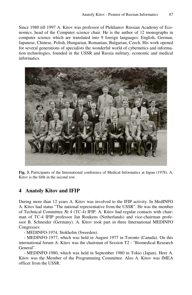Since 1980 till 1997 A. Kitov was professor of Plekhanov Russian Academy of Economics, head of the Computer science chair. He is the author of 12 monographs in computer science which are translated into 9 foreign languages: English, German, Japanese, Chinese, Polish, Hungarian, Romanian, Bulgarian, Czech. His work opened for several generations of specialists the wonderful world of cybernetics and information technologies, founded in the USSR and Russia military, economic and medical informatics.



**Fig. 3.** Participants of the International conference of Medical Informatics at Japan (1978). A. Kitov is the fifth in the second row.

## **4 Anatoly Kitov and IFIP**

During more than 12 years A. Kitov was involved to the IFIP activity. In MedINFO A. Kitov had status "The national representative from the USSR". He was the member of Technical Committee  $\mathcal{N}_2$  4 (TC-4) IFIP. A. Kitov had regular contacts with chairman of ТС-4 IFIP professor Jan Roukens (Netherlands) and vice-chairman professor B. Schneider (Germany). A. Kitov took part in three International MEDINFO Congresses:

- MEDINFO-1974, Stokholm (Sweeden).

- MEDINFO-1977, which was held in August 1977 in Toronto (Canada). On this international forum A. Kitov was the chairman of Session T2 - "Biomedical Research General".

- MEDINFO-1980, which was held in September 1980 in Tokio (Japan). Here A. Kitov was the Member of the Programming Committee. Also A. Kitov was IMEA officer from the USSR.